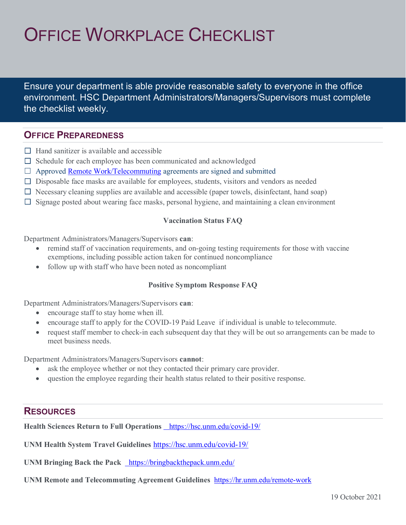# OFFICE WORKPLACE CHECKLIST

Ensure your department is able provide reasonable safety to everyone in the office environment. HSC Department Administrators/Managers/Supervisors must complete the checklist weekly.

## **OFFICE PREPAREDNESS**

- $\Box$  Hand sanitizer is available and accessible
- $\Box$  Schedule for each employee has been communicated and acknowledged
- $\Box$  Approved **Remote Work/Telecommuting** agreements are signed and submitted
- □ Disposable face masks are available for employees, students, visitors and vendors as needed
- $\Box$  Necessary cleaning supplies are available and accessible (paper towels, disinfectant, hand soap)
- $\Box$  Signage posted about wearing face masks, personal hygiene, and maintaining a clean environment

## **Vaccination Status FAQ**

Department Administrators/Managers/Supervisors **can**:

- remind staff of vaccination requirements, and on-going testing requirements for those with vaccine exemptions, including possible action taken for continued noncompliance
- follow up with staff who have been noted as noncompliant

#### **Positive Symptom Response FAQ**

Department Administrators/Managers/Supervisors **can**:

- encourage staff to stay home when ill.
- encourage staff to apply for the COVID-19 Paid Leave if individual is unable to telecommute.
- request staff member to check-in each subsequent day that they will be out so arrangements can be made to meet business needs.

Department Administrators/Managers/Supervisors **cannot**:

- ask the employee whether or not they contacted their primary care provider.
- question the employee regarding their health status related to their positive response.

# **RESOURCES**

**Health Sciences Return to Full Operations** https://hsc.unm.edu/covid-19/

**UNM Health System Travel Guidelines** <https://hsc.unm.edu/covid-19/>

**UNM Bringing Back the Pack** https://bringbackthepack.unm.edu/

**UNM Remote and Telecommuting Agreement Guidelines** <https://hr.unm.edu/remote-work>